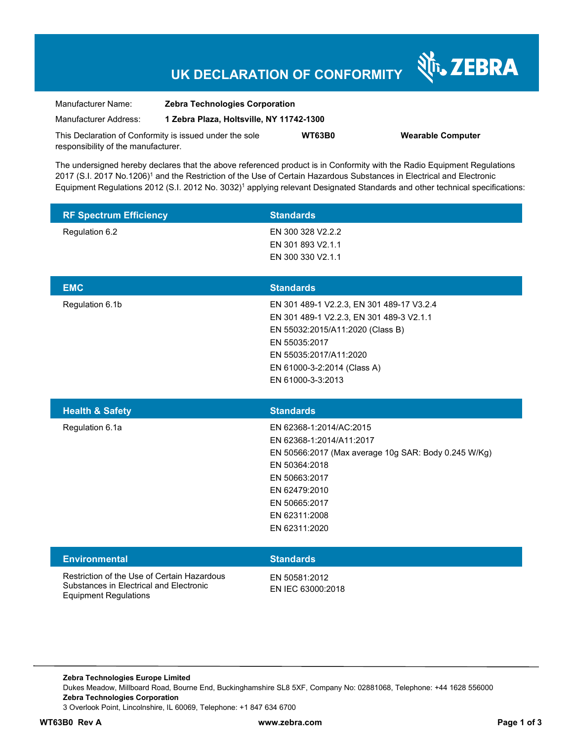# **UK DECLARATION OF CONFORMITY**

Nr. ZEBRA

| Manufacturer Name:                                      | <b>Zebra Technologies Corporation</b><br>1 Zebra Plaza, Holtsville, NY 11742-1300 |               |                          |
|---------------------------------------------------------|-----------------------------------------------------------------------------------|---------------|--------------------------|
| Manufacturer Address:                                   |                                                                                   |               |                          |
| This Declaration of Conformity is issued under the sole |                                                                                   | <b>WT63B0</b> | <b>Wearable Computer</b> |
| responsibility of the manufacturer.                     |                                                                                   |               |                          |

The undersigned hereby declares that the above referenced product is in Conformity with the Radio Equipment Regulations 2017 (S.I. 2017 No.1206)<sup>1</sup> and the Restriction of the Use of Certain Hazardous Substances in Electrical and Electronic Equipment Regulations 2012 (S.I. 2012 No. 3032)<sup>1</sup> applying relevant Designated Standards and other technical specifications:

| <b>RF Spectrum Efficiency</b>                                                          | <b>Standards</b>                                     |
|----------------------------------------------------------------------------------------|------------------------------------------------------|
| Regulation 6.2                                                                         | EN 300 328 V2.2.2                                    |
|                                                                                        | EN 301 893 V2.1.1                                    |
|                                                                                        | EN 300 330 V2.1.1                                    |
|                                                                                        |                                                      |
| <b>EMC</b>                                                                             | <b>Standards</b>                                     |
| Regulation 6.1b                                                                        | EN 301 489-1 V2.2.3, EN 301 489-17 V3.2.4            |
|                                                                                        | EN 301 489-1 V2.2.3, EN 301 489-3 V2.1.1             |
|                                                                                        | EN 55032:2015/A11:2020 (Class B)                     |
|                                                                                        | EN 55035:2017                                        |
|                                                                                        | EN 55035:2017/A11:2020                               |
|                                                                                        | EN 61000-3-2:2014 (Class A)                          |
|                                                                                        | EN 61000-3-3:2013                                    |
|                                                                                        |                                                      |
|                                                                                        |                                                      |
| <b>Health &amp; Safety</b>                                                             | <b>Standards</b>                                     |
| Regulation 6.1a                                                                        | EN 62368-1:2014/AC:2015                              |
|                                                                                        | EN 62368-1:2014/A11:2017                             |
|                                                                                        | EN 50566:2017 (Max average 10g SAR: Body 0.245 W/Kg) |
|                                                                                        | EN 50364:2018                                        |
|                                                                                        | EN 50663:2017                                        |
|                                                                                        | EN 62479:2010                                        |
|                                                                                        | EN 50665:2017                                        |
|                                                                                        | EN 62311:2008                                        |
|                                                                                        | EN 62311:2020                                        |
|                                                                                        |                                                      |
| <b>Environmental</b>                                                                   | <b>Standards</b>                                     |
| Restriction of the Use of Certain Hazardous<br>Substances in Electrical and Electronic | EN 50581:2012                                        |

**Zebra Technologies Europe Limited**  Dukes Meadow, Millboard Road, Bourne End, Buckinghamshire SL8 5XF, Company No: 02881068, Telephone: +44 1628 556000 **Zebra Technologies Corporation**  3 Overlook Point, Lincolnshire, IL 60069, Telephone: +1 847 634 6700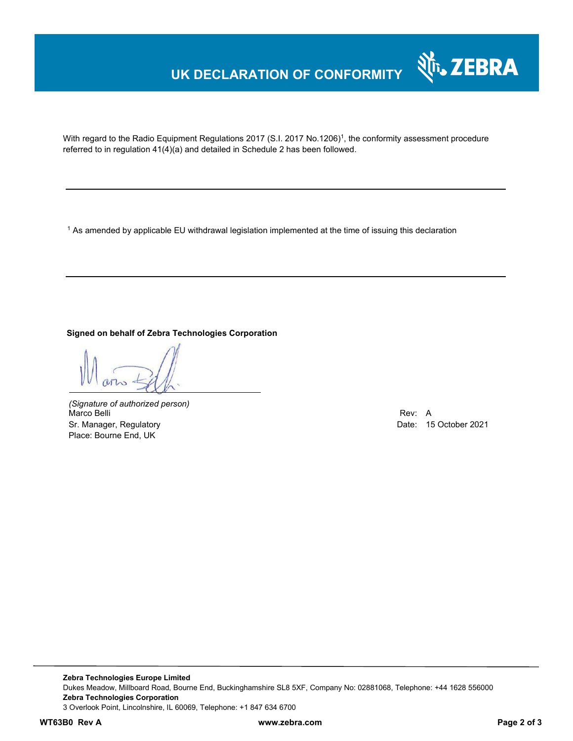## **UK DECLARATION OF CONFORMITY**



With regard to the Radio Equipment Regulations 2017 (S.I. 2017 No.1206)<sup>1</sup>, the conformity assessment procedure referred to in regulation 41(4)(a) and detailed in Schedule 2 has been followed.

 $^{\rm 1}$  As amended by applicable EU withdrawal legislation implemented at the time of issuing this declaration

**Signed on behalf of Zebra Technologies Corporation** 

*(Signature of authorized person)* Marco Belli Rev: A Alexander Communication of the Communication of the Communication of the Communication of the Communication of the Communication of the Communication of the Communication of the Communication of the Comm Sr. Manager, Regulatory Date: 15 October 2021 Place: Bourne End, UK